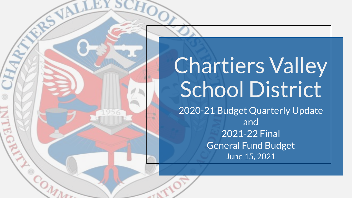# Chartiers Valley School District 2020-21 Budget Quarterly Update and 2021-22 Final General Fund Budget June 15, 2021

LEY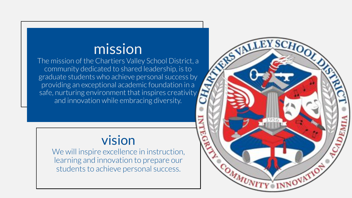# mission

The mission of the Chartiers Valley School District, a community dedicated to shared leadership, is to graduate students who achieve personal success by providing an exceptional academic foundation in a safe, nurturing environment that inspires creativity and innovation while embracing diversity.

### vision

We will inspire excellence in instruction, learning and innovation to prepare our students to achieve personal success.

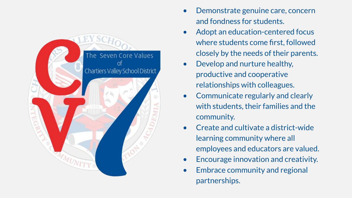

- Demonstrate genuine care, concern and fondness for students.
- Adopt an education-centered focus where students come first, followed closely by the needs of their parents.
- Develop and nurture healthy, productive and cooperative relationships with colleagues.
- Communicate regularly and clearly with students, their families and the community.
- Create and cultivate a district-wide learning community where all employees and educators are valued.
- Encourage innovation and creativity.
- Embrace community and regional partnerships.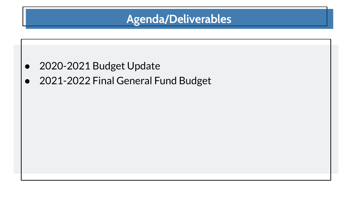### **Agenda/Deliverables**

- 2020-2021 Budget Update
- 2021-2022 Final General Fund Budget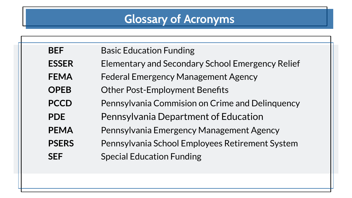# **Glossary of Acronyms**

| <b>BEF</b>   | <b>Basic Education Funding</b>                          |
|--------------|---------------------------------------------------------|
| <b>ESSER</b> | <b>Elementary and Secondary School Emergency Relief</b> |
| <b>FEMA</b>  | <b>Federal Emergency Management Agency</b>              |
| <b>OPEB</b>  | <b>Other Post-Employment Benefits</b>                   |
| <b>PCCD</b>  | Pennsylvania Commision on Crime and Delinquency         |
| <b>PDE</b>   | <b>Pennsylvania Department of Education</b>             |
| <b>PEMA</b>  | Pennsylvania Emergency Management Agency                |
| <b>PSERS</b> | Pennsylvania School Employees Retirement System         |
| <b>SEF</b>   | <b>Special Education Funding</b>                        |
|              |                                                         |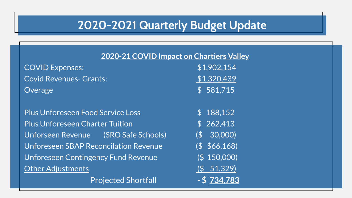## **2020-2021 Quarterly Budget Update**

| 2020-21 COVID Impact on Chartiers Valley     |                   |  |
|----------------------------------------------|-------------------|--|
| <b>COVID Expenses:</b>                       | \$1,902,154       |  |
| <b>Covid Revenues- Grants:</b>               | \$1,320,439       |  |
| Overage                                      | \$581,715         |  |
| <b>Plus Unforeseen Food Service Loss</b>     | \$188,152         |  |
| <b>Plus Unforeseen Charter Tuition</b>       | \$262,413         |  |
| Unforseen Revenue (SRO Safe Schools)         | $($ \$ 30,000)    |  |
| <b>Unforeseen SBAP Reconcilation Revenue</b> | $($ \$ \$66,168)  |  |
| <b>Unforeseen Contingency Fund Revenue</b>   | (\$ 150,000)      |  |
| <b>Other Adjustments</b>                     | $(5\quad 51,329)$ |  |
| <b>Projected Shortfall</b>                   | - \$734,783       |  |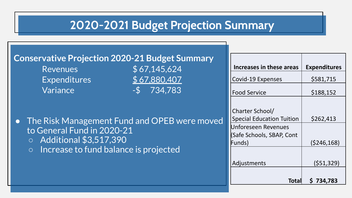## **2020-2021 Budget Projection Summary**

|                                                                      | <b>Conservative Projection 2020-21 Budget Summary</b>                                   |                                                                                                                                                 |                                                     |
|----------------------------------------------------------------------|-----------------------------------------------------------------------------------------|-------------------------------------------------------------------------------------------------------------------------------------------------|-----------------------------------------------------|
| <b>Revenues</b>                                                      | \$67,145,624                                                                            | Increases in these areas                                                                                                                        | <b>Expenditures</b>                                 |
| Expenditures                                                         | \$67,880,407                                                                            | <b>Covid-19 Expenses</b>                                                                                                                        | \$581,715                                           |
| Variance                                                             | $-5$ 734,783                                                                            | <b>Food Service</b>                                                                                                                             | \$188,152                                           |
| to General Fund in 2020-21<br>Additional \$3,517,390<br>O<br>$\circ$ | • The Risk Management Fund and OPEB were moved<br>Increase to fund balance is projected | Charter School/<br><b>Special Education Tuition</b><br>Unforeseen Revenues<br><b>Safe Schools, SBAP, Cont</b><br>Funds)<br>Adjustments<br>Total | \$262,413<br>(5246, 168)<br>(551, 329)<br>\$734,783 |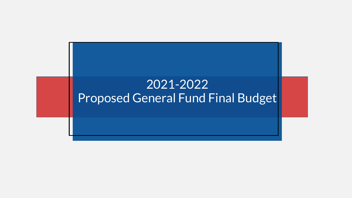## 2021-2022 Proposed General Fund Final Budget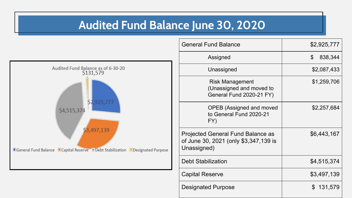### **Audited Fund Balance June 30, 2020**



| <b>General Fund Balance</b>                                                                      | \$2,925,777               |
|--------------------------------------------------------------------------------------------------|---------------------------|
| Assigned                                                                                         | $\mathfrak{F}$<br>838,344 |
| Unassigned                                                                                       | \$2,087,433               |
| <b>Risk Management</b><br>(Unassigned and moved to<br>General Fund 2020-21 FY)                   | \$1,259,706               |
| <b>OPEB (Assigned and moved</b><br>to General Fund 2020-21<br>FY)                                | \$2,257,684               |
| <b>Projected General Fund Balance as</b><br>of June 30, 2021 (only \$3,347,139 is<br>Unassigned) | \$6,443,167               |
| <b>Debt Stabilization</b>                                                                        | \$4,515,374               |
| <b>Capital Reserve</b>                                                                           | \$3,497,139               |
| <b>Designated Purpose</b>                                                                        | 131,579<br>\$.            |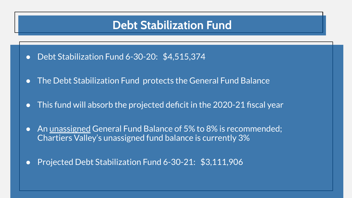#### **Debt Stabilization Fund**

- Debt Stabilization Fund 6-30-20: \$4,515,374
- The Debt Stabilization Fund protects the General Fund Balance
- This fund will absorb the projected deficit in the  $2020-21$  fiscal year
- An unassigned General Fund Balance of 5% to 8% is recommended; Chartiers Valley's unassigned fund balance is currently 3%
- Projected Debt Stabilization Fund 6-30-21: \$3,111,906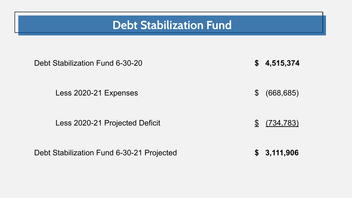### **Debt Stabilization Fund**

| Debt Stabilization Fund 6-30-20           | $\mathbb{S}$   | 4,515,374        |
|-------------------------------------------|----------------|------------------|
| Less 2020-21 Expenses                     | $\mathbb S$    | (668, 685)       |
| Less 2020-21 Projected Deficit            | $\mathbb{S}^-$ | <u>(734,783)</u> |
| Debt Stabilization Fund 6-30-21 Projected | \$             | 3,111,906        |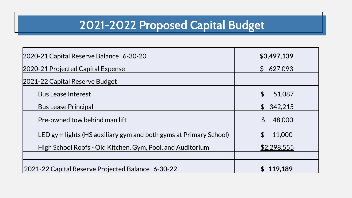## **2021-2022 Proposed Capital Budget**

| 2020-21 Capital Reserve Balance 6-30-20                           | \$3,497,139                         |
|-------------------------------------------------------------------|-------------------------------------|
| 2020-21 Projected Capital Expense                                 | 627,093<br>$\mathfrak{S}$           |
| 2021-22 Capital Reserve Budget                                    |                                     |
| <b>Bus Lease Interest</b>                                         | $\boldsymbol{\mathsf{S}}$<br>51,087 |
| <b>Bus Lease Principal</b>                                        | 342,215<br>$\mathfrak{S}$           |
| Pre-owned tow behind man lift                                     | $\boldsymbol{\mathsf{S}}$<br>48,000 |
| LED gym lights (HS auxiliary gym and both gyms at Primary School) | 11,000<br>$\mathfrak{L}$            |
| High School Roofs - Old Kitchen, Gym, Pool, and Auditorium        | \$2,298,555                         |
|                                                                   |                                     |
| 2021-22 Capital Reserve Projected Balance 6-30-22                 | 119,189                             |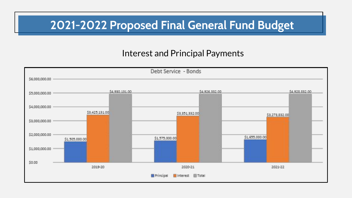## **2021-2022 Proposed Final General Fund Budget**

#### Interest and Principal Payments

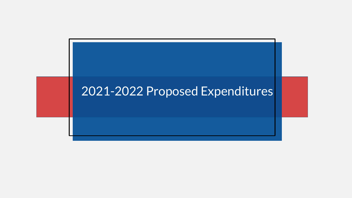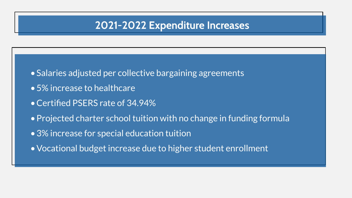#### **2021-2022 Expenditure Increases**

- •Salaries adjusted per collective bargaining agreements
- •5% increase to healthcare
- •Certified PSERS rate of 34.94%
- •Projected charter school tuition with no change in funding formula
- •3% increase for special education tuition
- •Vocational budget increase due to higher student enrollment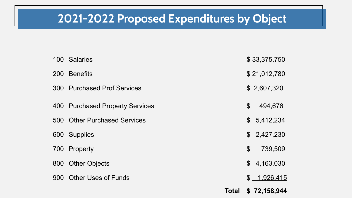## **2021-2022 Proposed Expenditures by Object**

|            |                                 | <b>Total</b> |                           | \$72,158,944 |
|------------|---------------------------------|--------------|---------------------------|--------------|
| 900        | <b>Other Uses of Funds</b>      |              |                           | \$ 1,926,415 |
|            | 800 Other Objects               |              | $\mathfrak{L}$            | 4,163,030    |
|            | 700 Property                    |              | $\mathcal{S}$             | 739,509      |
|            | 600 Supplies                    |              |                           | \$2,427,230  |
|            | 500 Other Purchased Services    |              |                           | \$5,412,234  |
|            | 400 Purchased Property Services |              | $\boldsymbol{\mathsf{S}}$ | 494,676      |
|            | 300 Purchased Prof Services     |              |                           | \$2,607,320  |
| <b>200</b> | <b>Benefits</b>                 |              |                           | \$21,012,780 |
|            | 100 Salaries                    |              |                           | \$33,375,750 |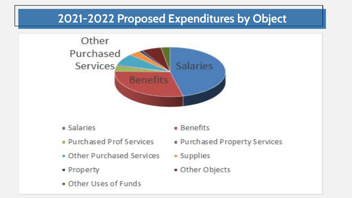## **2021-2022 Proposed Expenditures by Object**



- · Salaries
- Purchased Prof Services
- . Other Purchased Services
- · Property
- Other Uses of Funds

**Benefits** 

- Purchased Property Services
- Supplies
- · Other Objects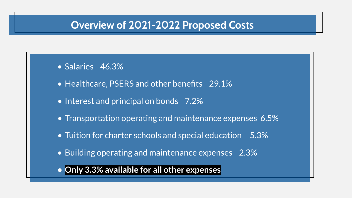#### **Overview of 2021-2022 Proposed Costs**

- Salaries 46.3%
- Healthcare, PSERS and other benefits 29.1%
- Interest and principal on bonds 7.2%
- Transportation operating and maintenance expenses 6.5%
- Tuition for charter schools and special education 5.3%
- Building operating and maintenance expenses 2.3%
- **• Only 3.3% available for all other expenses**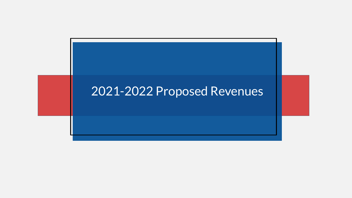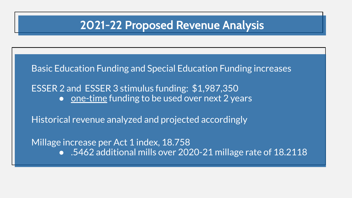### **2021-22 Proposed Revenue Analysis**

Basic Education Funding and Special Education Funding increases

ESSER 2 and ESSER 3 stimulus funding: \$1,987,350 ● one-time funding to be used over next 2 years

Historical revenue analyzed and projected accordingly

Millage increase per Act 1 index, 18.758

● .5462 additional mills over 2020-21 millage rate of 18.2118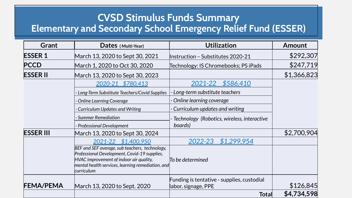#### **CVSD Stimulus Funds Summary Elementary and Secondary School Emergency Relief Fund (ESSER)**

| <b>Grant</b>     | Dates (Multi-Year)                                                                                                                                                                                           | <b>Utilization</b>                                                                | <b>Amount</b>            |
|------------------|--------------------------------------------------------------------------------------------------------------------------------------------------------------------------------------------------------------|-----------------------------------------------------------------------------------|--------------------------|
| <b>ESSER 1</b>   | March 13, 2020 to Sept 30, 2021                                                                                                                                                                              | Instruction - Substitutes 2020-21                                                 | \$292,307                |
| <b>PCCD</b>      | March 1, 2020 to Oct 30, 2020                                                                                                                                                                                | Technology: IS Chromebooks; PS iPads                                              | \$247,719                |
| <b>ESSER II</b>  | March 13, 2020 to Sept 30, 2023                                                                                                                                                                              |                                                                                   | \$1,366,823              |
|                  | 2020-21 \$780,413                                                                                                                                                                                            | \$586,410<br>2021-22                                                              |                          |
|                  | Long-Term Substitute Teachers/Covid Supplies                                                                                                                                                                 | Long-term substitute teachers                                                     |                          |
|                  | <b>Online Learning Coverage</b>                                                                                                                                                                              | - Online learning coverage                                                        |                          |
|                  | <b>Curriculum Updates and Writing</b>                                                                                                                                                                        | - Curriculum updates and writing                                                  |                          |
|                  | <b>Summer Remediation</b>                                                                                                                                                                                    | - Technology (Robotics, wireless, interactive                                     |                          |
|                  | <b>Professional Development</b>                                                                                                                                                                              | boards)                                                                           |                          |
| <b>ESSER III</b> | March 13, 2020 to Sept 30, 2024                                                                                                                                                                              |                                                                                   | \$2,700,904              |
|                  | 2021-22 \$1,400,950                                                                                                                                                                                          | \$1,299,954<br>2022-23                                                            |                          |
|                  | BEF and SEF overage, sub teachers, technology,<br>Professional Development, Covid-19 supplies,<br>HVAC improvement of indoor air quality,<br>mental health services, learning remediation, and<br>curriculum | To be determined                                                                  |                          |
| <b>FEMA/PEMA</b> | March 13, 2020 to Sept. 2020                                                                                                                                                                                 | Funding is tentative - supplies, custodial<br>labor, signage, PPE<br><b>Total</b> | \$126,845<br>\$4,734,598 |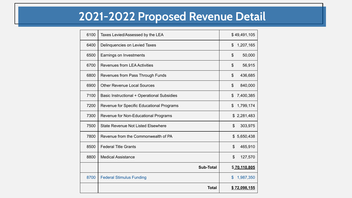## **2021-2022 Proposed Revenue Detail**

| 6100 | Taxes Levied/Assessed by the LEA            | \$49,491,105                |
|------|---------------------------------------------|-----------------------------|
| 6400 | Delinquencies on Levied Taxes               | \$<br>1,207,165             |
| 6500 | Earnings on Investments                     | 50,000<br>\$                |
| 6700 | <b>Revenues from LEA Activities</b>         | $\frac{1}{2}$<br>56,915     |
| 6800 | Revenues from Pass Through Funds            | \$<br>436,685               |
| 6900 | <b>Other Revenue Local Sources</b>          | \$<br>840,000               |
| 7100 | Basic Instructional + Operational Subsidies | \$<br>7,400,385             |
| 7200 | Revenue for Specific Educational Programs   | \$<br>1,799,174             |
| 7300 | Revenue for Non-Educational Programs        | \$2,281,483                 |
| 7500 | <b>State Revenue Not Listed Elsewhere</b>   | $\mathfrak{S}$<br>303,975   |
| 7800 | Revenue from the Commonwealth of PA         | 5,650,438<br>$\mathfrak{L}$ |
| 8500 | <b>Federal Title Grants</b>                 | 465,910<br>\$               |
| 8800 | <b>Medical Assistance</b>                   | \$<br>127,570               |
|      | <b>Sub-Total</b>                            | \$70.110.805                |
| 8700 | <b>Federal Stimulus Funding</b>             | $\mathbf{\$}$<br>1,987,350  |
|      | <b>Total</b>                                | \$72,098,155                |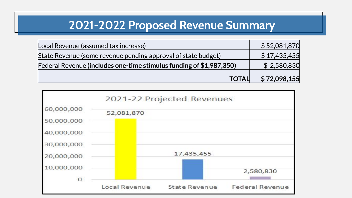### **2021-2022 Proposed Revenue Summary**

| Local Revenue (assumed tax increase)                                       | \$52,081,870 |
|----------------------------------------------------------------------------|--------------|
| State Revenue (some revenue pending approval of state budget)              | \$17,435,455 |
| <b>Federal Revenue (includes one-time stimulus funding of \$1,987,350)</b> | \$2,580,830  |
| <b>TOTAL</b>                                                               | \$72,098,155 |

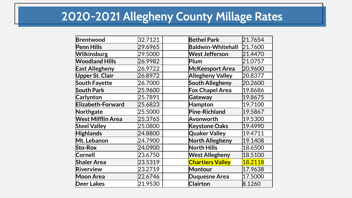## **2020-2021 Allegheny County Millage Rates**

| Brentwood                | 32.7121 | <b>Bethel Park</b>       | 21.7654 |
|--------------------------|---------|--------------------------|---------|
| <b>Penn Hills</b>        | 29.6965 | <b>Baldwin-Whitehall</b> | 21.7600 |
| <b>Wilkinsburg</b>       | 29.5000 | <b>West Jefferson</b>    | 21.4470 |
| <b>Woodland Hills</b>    | 26.9982 | Plum                     | 21.0757 |
| <b>East Allegheny</b>    | 26.9722 | <b>McKeesport Area</b>   | 20.9600 |
| <b>Upper St. Clair</b>   | 26.8972 | <b>Allegheny Valley</b>  | 20.8377 |
| <b>South Fayette</b>     | 26.7000 | <b>South Allegheny</b>   | 20.2600 |
| <b>South Park</b>        | 25.9600 | <b>Fox Chapel Area</b>   | 19.8686 |
| <b>Carlynton</b>         | 25.7891 | Gateway                  | 19.8675 |
| <b>Elizabeth-Forward</b> | 25.6823 | Hampton                  | 19.7100 |
| Northgate                | 25.5000 | <b>Pine-Richland</b>     | 19.5867 |
| <b>West Mifflin Area</b> | 25.3765 | Avonworth                | 19.5300 |
| <b>Steel Valley</b>      | 25.0800 | <b>Keystone Oaks</b>     | 19.4990 |
| <b>Highlands</b>         | 24.8800 | <b>Quaker Valley</b>     | 19.4711 |
| Mt. Lebanon              | 24.7900 | <b>North Allegheny</b>   | 19.1408 |
| <b>Sto-Rox</b>           | 24.0900 | <b>North Hills</b>       | 18.6500 |
| Cornell                  | 23.6750 | <b>West Allegheny</b>    | 18.5100 |
| <b>Shaler Area</b>       | 23.5319 | <b>Chartiers Valley</b>  | 18.2118 |
| Riverview                | 23.2719 | Montour                  | 17.9638 |
| <b>Moon Area</b>         | 22.6746 | <b>Duquesne Area</b>     | 17.5000 |
| <b>Deer Lakes</b>        | 21.9530 | <b>Clairton</b>          | 8.1260  |
|                          |         |                          |         |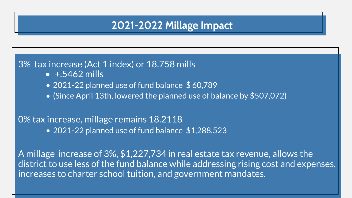#### **2021-2022 Millage Impact**

#### 3% tax increase (Act 1 index) or 18.758 mills

- $+ 5462$  mills
- 2021-22 planned use of fund balance \$60,789
- (Since April 13th, lowered the planned use of balance by \$507,072)

#### 0% tax increase, millage remains 18.2118

• 2021-22 planned use of fund balance \$1,288,523

A millage increase of 3%, \$1,227,734 in real estate tax revenue, allows the district to use less of the fund balance while addressing rising cost and expenses, increases to charter school tuition, and government mandates.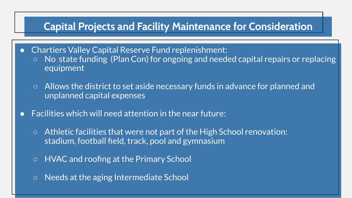#### **Capital Projects and Facility Maintenance for Consideration**

- Chartiers Valley Capital Reserve Fund replenishment: ○ No state funding (Plan Con) for ongoing and needed capital repairs or replacing equipment
	- Allows the district to set aside necessary funds in advance for planned and unplanned capital expenses
- Facilities which will need attention in the near future:
	- Athletic facilities that were not part of the High School renovation: stadium, football field, track, pool and gymnasium
	- HVAC and roofing at the Primary School
	- Needs at the aging Intermediate School